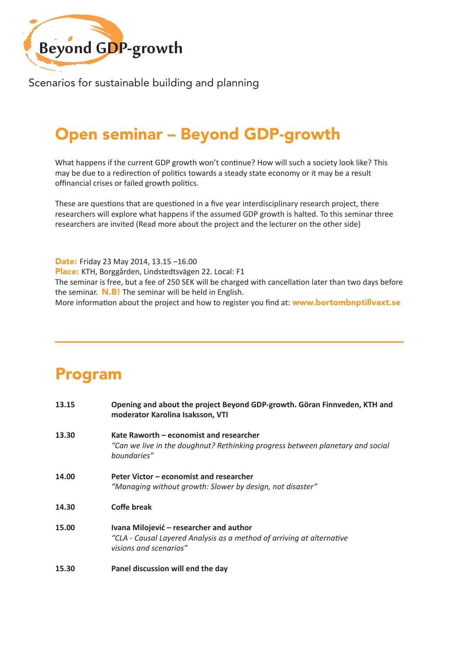

Scenarios for sustainable building and planning

## Open seminar – Beyond GDP-growth

What happens if the current GDP growth won't continue? How will such a society look like? This may be due to a redirection of politics towards a steady state economy or it may be a result offinancial crises or failed growth politics.

These are questions that are questioned in a five year interdisciplinary research project, there researchers will explore what happens if the assumed GDP growth is halted. To this seminar three researchers are invited (Read more about the project and the lecturer on the other side)

Date: Friday 23 May 2014, 13.15 –16.00

Place: KTH, Borggården, Lindstedtsvägen 22. Local: F1

The seminar is free, but a fee of 250 SEK will be charged with cancellation later than two days before the seminar.  $N.B!$  The seminar will be held in English.

More information about the project and how to register you find at: www.bortombnptillvaxt.se

## Program

| 13.15 | Opening and about the project Beyond GDP-growth. Göran Finnveden, KTH and<br>moderator Karolina Isaksson, VTI                              |
|-------|--------------------------------------------------------------------------------------------------------------------------------------------|
| 13.30 | Kate Raworth – economist and researcher<br>"Can we live in the doughnut? Rethinking progress between planetary and social<br>boundaries"   |
| 14.00 | Peter Victor – economist and researcher<br>"Managing without growth: Slower by design, not disaster"                                       |
| 14.30 | <b>Coffe break</b>                                                                                                                         |
| 15.00 | Ivana Milojević - researcher and author<br>"CLA - Causal Layered Analysis as a method of arriving at alternative<br>visions and scenarios" |
| 15.30 | Panel discussion will end the day                                                                                                          |